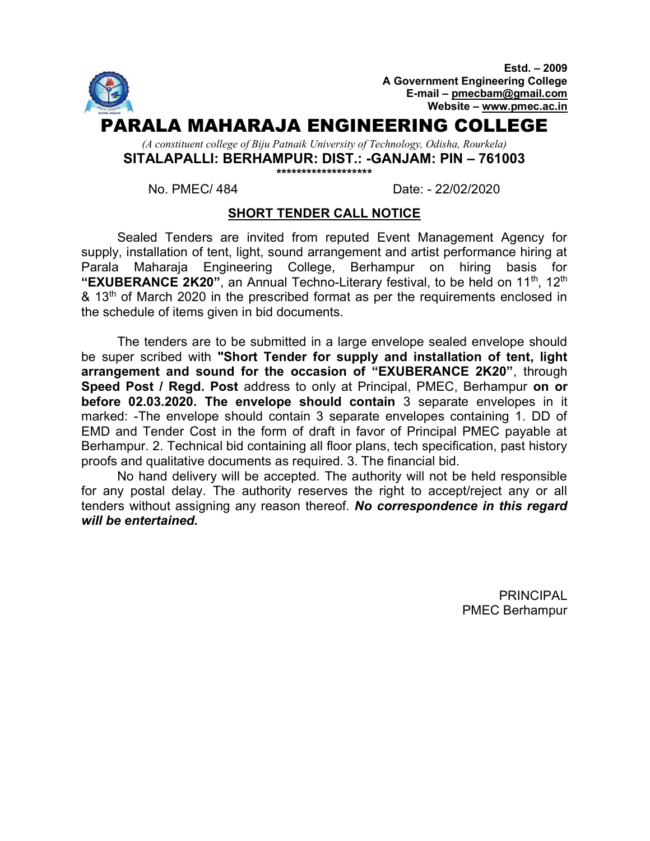

No. PMEC/ 484 Date: - 22/02/2020

#### SHORT TENDER CALL NOTICE

Sealed Tenders are invited from reputed Event Management Agency for supply, installation of tent, light, sound arrangement and artist performance hiring at Parala Maharaja Engineering College, Berhampur on hiring basis for "EXUBERANCE 2K20", an Annual Techno-Literary festival, to be held on  $11<sup>th</sup>$ ,  $12<sup>th</sup>$ & 13<sup>th</sup> of March 2020 in the prescribed format as per the requirements enclosed in the schedule of items given in bid documents.

The tenders are to be submitted in a large envelope sealed envelope should be super scribed with "Short Tender for supply and installation of tent, light arrangement and sound for the occasion of "EXUBERANCE 2K20", through Speed Post / Regd. Post address to only at Principal, PMEC, Berhampur on or before 02.03.2020. The envelope should contain 3 separate envelopes in it marked: -The envelope should contain 3 separate envelopes containing 1. DD of EMD and Tender Cost in the form of draft in favor of Principal PMEC payable at Berhampur. 2. Technical bid containing all floor plans, tech specification, past history proofs and qualitative documents as required. 3. The financial bid.

No hand delivery will be accepted. The authority will not be held responsible for any postal delay. The authority reserves the right to accept/reject any or all tenders without assigning any reason thereof. No correspondence in this regard will be entertained.

> PRINCIPAL PMEC Berhampur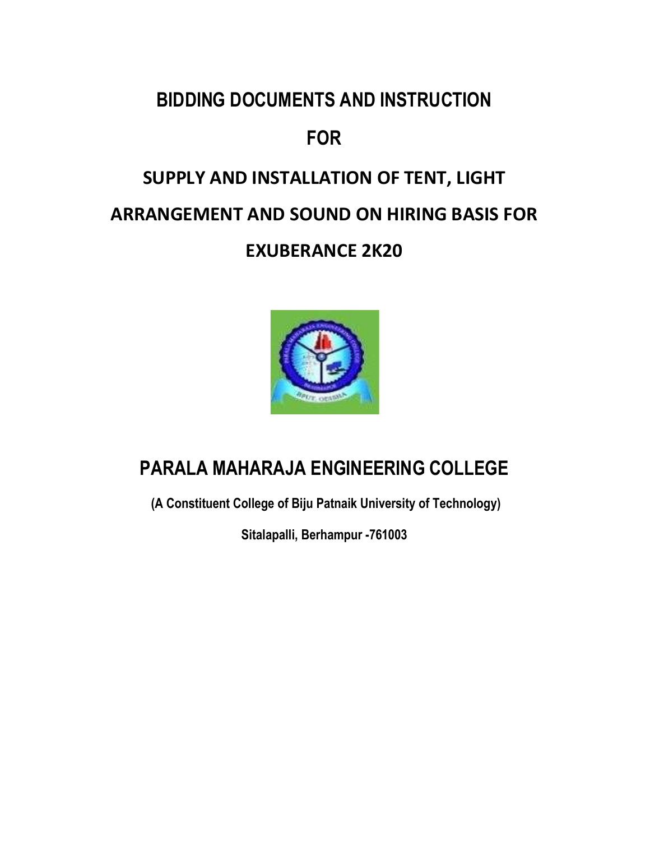## BIDDING DOCUMENTS AND INSTRUCTION

## FOR

# SUPPLY AND INSTALLATION OF TENT, LIGHT ARRANGEMENT AND SOUND ON HIRING BASIS FOR EXUBERANCE 2K20



## PARALA MAHARAJA ENGINEERING COLLEGE

(A Constituent College of Biju Patnaik University of Technology)

Sitalapalli, Berhampur -761003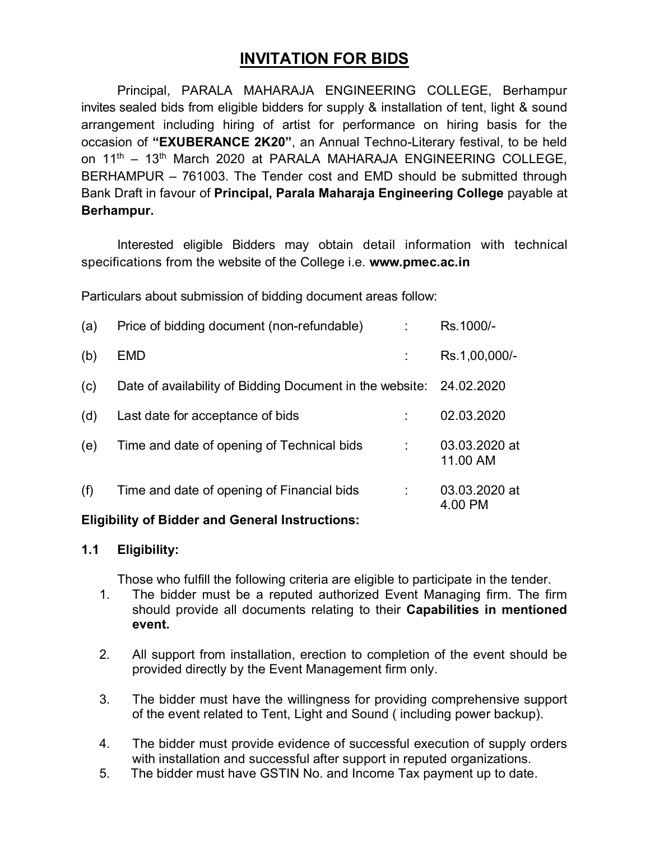## INVITATION FOR BIDS

Principal, PARALA MAHARAJA ENGINEERING COLLEGE, Berhampur invites sealed bids from eligible bidders for supply & installation of tent, light & sound arrangement including hiring of artist for performance on hiring basis for the occasion of "EXUBERANCE 2K20", an Annual Techno-Literary festival, to be held on 11<sup>th</sup> – 13<sup>th</sup> March 2020 at PARALA MAHARAJA ENGINEERING COLLEGE. BERHAMPUR – 761003. The Tender cost and EMD should be submitted through Bank Draft in favour of Principal, Parala Maharaja Engineering College payable at Berhampur.

Interested eligible Bidders may obtain detail information with technical specifications from the website of the College i.e. www.pmec.ac.in

Particulars about submission of bidding document areas follow:

| (a) | Price of bidding document (non-refundable)               | Rs.1000/-                 |
|-----|----------------------------------------------------------|---------------------------|
| (b) | EMD                                                      | Rs.1,00,000/-             |
| (c) | Date of availability of Bidding Document in the website: | 24.02.2020                |
| (d) | Last date for acceptance of bids                         | 02.03.2020                |
| (e) | Time and date of opening of Technical bids               | 03.03.2020 at<br>11.00 AM |
| (f) | Time and date of opening of Financial bids               | 03.03.2020 at<br>4.00 PM  |

#### Eligibility of Bidder and General Instructions:

#### 1.1 Eligibility:

Those who fulfill the following criteria are eligible to participate in the tender.

- 1. The bidder must be a reputed authorized Event Managing firm. The firm should provide all documents relating to their **Capabilities in mentioned** event.
- 2. All support from installation, erection to completion of the event should be provided directly by the Event Management firm only.
- 3. The bidder must have the willingness for providing comprehensive support of the event related to Tent, Light and Sound ( including power backup).
- 4. The bidder must provide evidence of successful execution of supply orders with installation and successful after support in reputed organizations.
- 5. The bidder must have GSTIN No. and Income Tax payment up to date.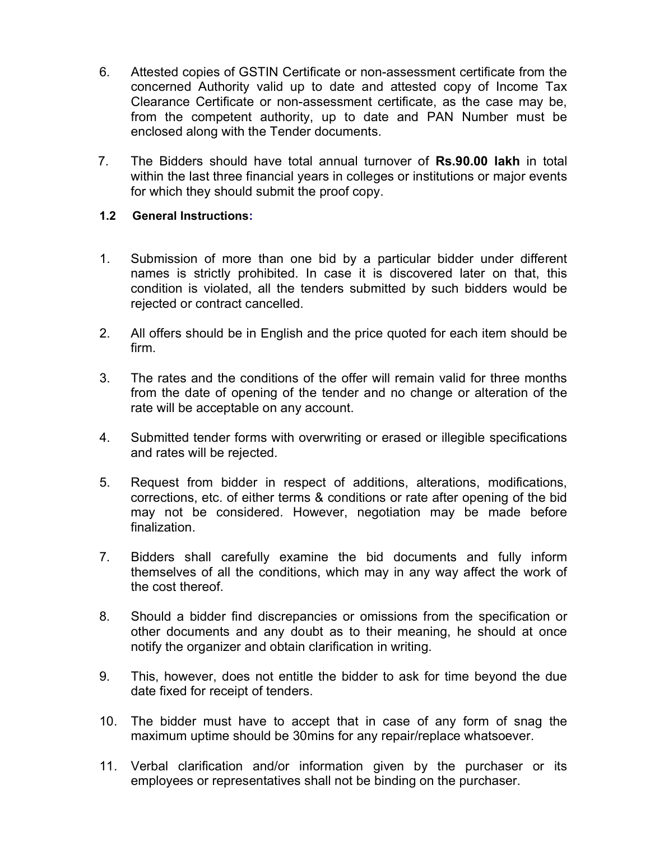- 6. Attested copies of GSTIN Certificate or non-assessment certificate from the concerned Authority valid up to date and attested copy of Income Tax Clearance Certificate or non-assessment certificate, as the case may be, from the competent authority, up to date and PAN Number must be enclosed along with the Tender documents.
- 7. The Bidders should have total annual turnover of Rs.90.00 lakh in total within the last three financial years in colleges or institutions or major events for which they should submit the proof copy.

#### 1.2 General Instructions:

- 1. Submission of more than one bid by a particular bidder under different names is strictly prohibited. In case it is discovered later on that, this condition is violated, all the tenders submitted by such bidders would be rejected or contract cancelled.
- 2. All offers should be in English and the price quoted for each item should be firm.
- 3. The rates and the conditions of the offer will remain valid for three months from the date of opening of the tender and no change or alteration of the rate will be acceptable on any account.
- 4. Submitted tender forms with overwriting or erased or illegible specifications and rates will be rejected.
- 5. Request from bidder in respect of additions, alterations, modifications, corrections, etc. of either terms & conditions or rate after opening of the bid may not be considered. However, negotiation may be made before finalization.
- 7. Bidders shall carefully examine the bid documents and fully inform themselves of all the conditions, which may in any way affect the work of the cost thereof.
- 8. Should a bidder find discrepancies or omissions from the specification or other documents and any doubt as to their meaning, he should at once notify the organizer and obtain clarification in writing.
- 9. This, however, does not entitle the bidder to ask for time beyond the due date fixed for receipt of tenders.
- 10. The bidder must have to accept that in case of any form of snag the maximum uptime should be 30mins for any repair/replace whatsoever.
- 11. Verbal clarification and/or information given by the purchaser or its employees or representatives shall not be binding on the purchaser.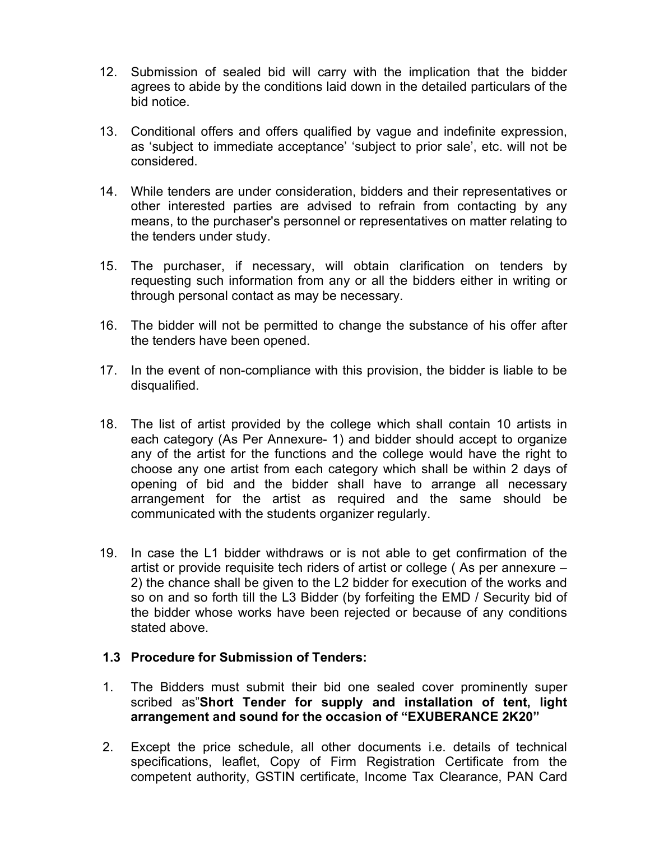- 12. Submission of sealed bid will carry with the implication that the bidder agrees to abide by the conditions laid down in the detailed particulars of the bid notice.
- 13. Conditional offers and offers qualified by vague and indefinite expression, as 'subject to immediate acceptance' 'subject to prior sale', etc. will not be considered.
- 14. While tenders are under consideration, bidders and their representatives or other interested parties are advised to refrain from contacting by any means, to the purchaser's personnel or representatives on matter relating to the tenders under study.
- 15. The purchaser, if necessary, will obtain clarification on tenders by requesting such information from any or all the bidders either in writing or through personal contact as may be necessary.
- 16. The bidder will not be permitted to change the substance of his offer after the tenders have been opened.
- 17. In the event of non-compliance with this provision, the bidder is liable to be disqualified.
- 18. The list of artist provided by the college which shall contain 10 artists in each category (As Per Annexure- 1) and bidder should accept to organize any of the artist for the functions and the college would have the right to choose any one artist from each category which shall be within 2 days of opening of bid and the bidder shall have to arrange all necessary arrangement for the artist as required and the same should be communicated with the students organizer regularly.
- 19. In case the L1 bidder withdraws or is not able to get confirmation of the artist or provide requisite tech riders of artist or college ( As per annexure – 2) the chance shall be given to the L2 bidder for execution of the works and so on and so forth till the L3 Bidder (by forfeiting the EMD / Security bid of the bidder whose works have been rejected or because of any conditions stated above.

#### 1.3 Procedure for Submission of Tenders:

- 1. The Bidders must submit their bid one sealed cover prominently super scribed as"Short Tender for supply and installation of tent, light arrangement and sound for the occasion of "EXUBERANCE 2K20"
- 2. Except the price schedule, all other documents i.e. details of technical specifications, leaflet, Copy of Firm Registration Certificate from the competent authority, GSTIN certificate, Income Tax Clearance, PAN Card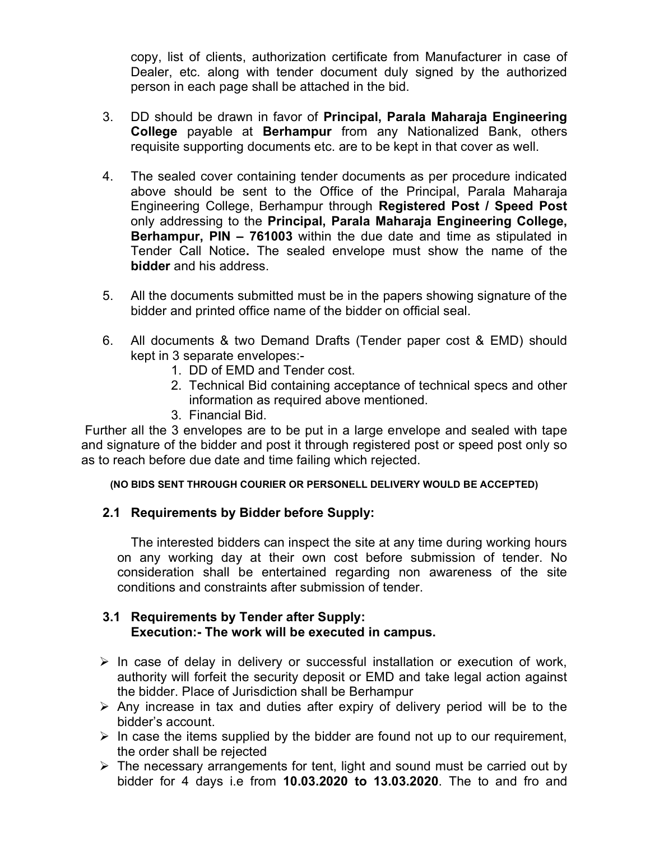copy, list of clients, authorization certificate from Manufacturer in case of Dealer, etc. along with tender document duly signed by the authorized person in each page shall be attached in the bid.

- 3. DD should be drawn in favor of Principal, Parala Maharaja Engineering College payable at Berhampur from any Nationalized Bank, others requisite supporting documents etc. are to be kept in that cover as well.
- 4. The sealed cover containing tender documents as per procedure indicated above should be sent to the Office of the Principal, Parala Maharaja Engineering College, Berhampur through Registered Post / Speed Post only addressing to the Principal, Parala Maharaja Engineering College, Berhampur, PIN – 761003 within the due date and time as stipulated in Tender Call Notice. The sealed envelope must show the name of the bidder and his address.
- 5. All the documents submitted must be in the papers showing signature of the bidder and printed office name of the bidder on official seal.
- 6. All documents & two Demand Drafts (Tender paper cost & EMD) should kept in 3 separate envelopes:-
	- 1. DD of EMD and Tender cost.
	- 2. Technical Bid containing acceptance of technical specs and other information as required above mentioned.
	- 3. Financial Bid.

 Further all the 3 envelopes are to be put in a large envelope and sealed with tape and signature of the bidder and post it through registered post or speed post only so as to reach before due date and time failing which rejected.

(NO BIDS SENT THROUGH COURIER OR PERSONELL DELIVERY WOULD BE ACCEPTED)

#### 2.1 Requirements by Bidder before Supply:

The interested bidders can inspect the site at any time during working hours on any working day at their own cost before submission of tender. No consideration shall be entertained regarding non awareness of the site conditions and constraints after submission of tender.

#### 3.1 Requirements by Tender after Supply: Execution:- The work will be executed in campus.

- $\triangleright$  In case of delay in delivery or successful installation or execution of work, authority will forfeit the security deposit or EMD and take legal action against the bidder. Place of Jurisdiction shall be Berhampur
- $\triangleright$  Any increase in tax and duties after expiry of delivery period will be to the bidder's account.
- $\triangleright$  In case the items supplied by the bidder are found not up to our requirement, the order shall be rejected
- $\triangleright$  The necessary arrangements for tent, light and sound must be carried out by bidder for 4 days i.e from 10.03.2020 to 13.03.2020. The to and fro and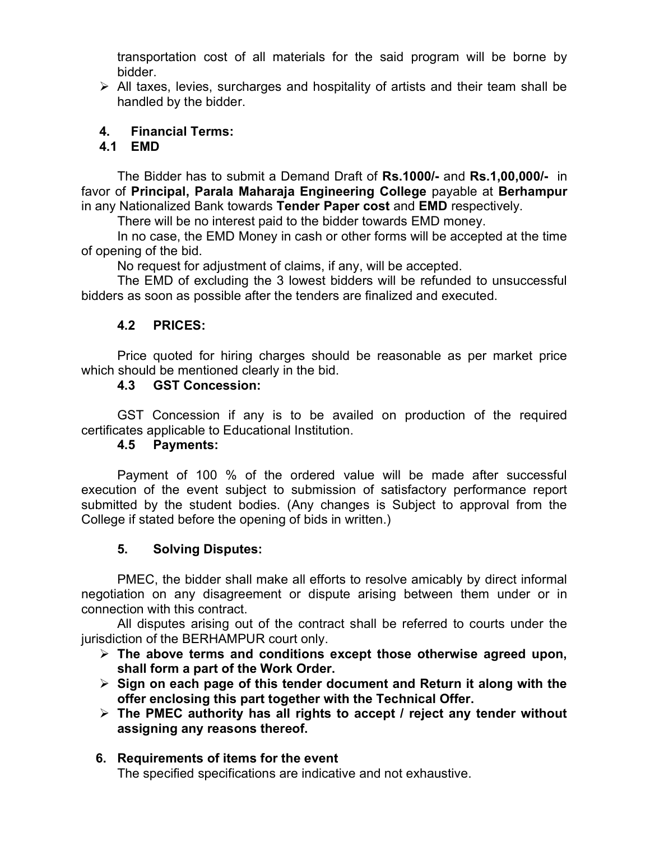transportation cost of all materials for the said program will be borne by bidder.

 $\triangleright$  All taxes, levies, surcharges and hospitality of artists and their team shall be handled by the bidder.

#### 4. Financial Terms:

#### 4.1 EMD

The Bidder has to submit a Demand Draft of Rs.1000/- and Rs.1,00,000/- in favor of Principal, Parala Maharaja Engineering College payable at Berhampur in any Nationalized Bank towards Tender Paper cost and EMD respectively.

There will be no interest paid to the bidder towards EMD money.

In no case, the EMD Money in cash or other forms will be accepted at the time of opening of the bid.

No request for adjustment of claims, if any, will be accepted.

The EMD of excluding the 3 lowest bidders will be refunded to unsuccessful bidders as soon as possible after the tenders are finalized and executed.

#### 4.2 PRICES:

Price quoted for hiring charges should be reasonable as per market price which should be mentioned clearly in the bid.

#### 4.3 GST Concession:

GST Concession if any is to be availed on production of the required certificates applicable to Educational Institution.

#### 4.5 Payments:

Payment of 100 % of the ordered value will be made after successful execution of the event subject to submission of satisfactory performance report submitted by the student bodies. (Any changes is Subject to approval from the College if stated before the opening of bids in written.)

#### 5. Solving Disputes:

PMEC, the bidder shall make all efforts to resolve amicably by direct informal negotiation on any disagreement or dispute arising between them under or in connection with this contract.

All disputes arising out of the contract shall be referred to courts under the jurisdiction of the BERHAMPUR court only.

- $\triangleright$  The above terms and conditions except those otherwise agreed upon, shall form a part of the Work Order.
- $\triangleright$  Sign on each page of this tender document and Return it along with the offer enclosing this part together with the Technical Offer.
- $\triangleright$  The PMEC authority has all rights to accept / reject any tender without assigning any reasons thereof.

## 6. Requirements of items for the event

The specified specifications are indicative and not exhaustive.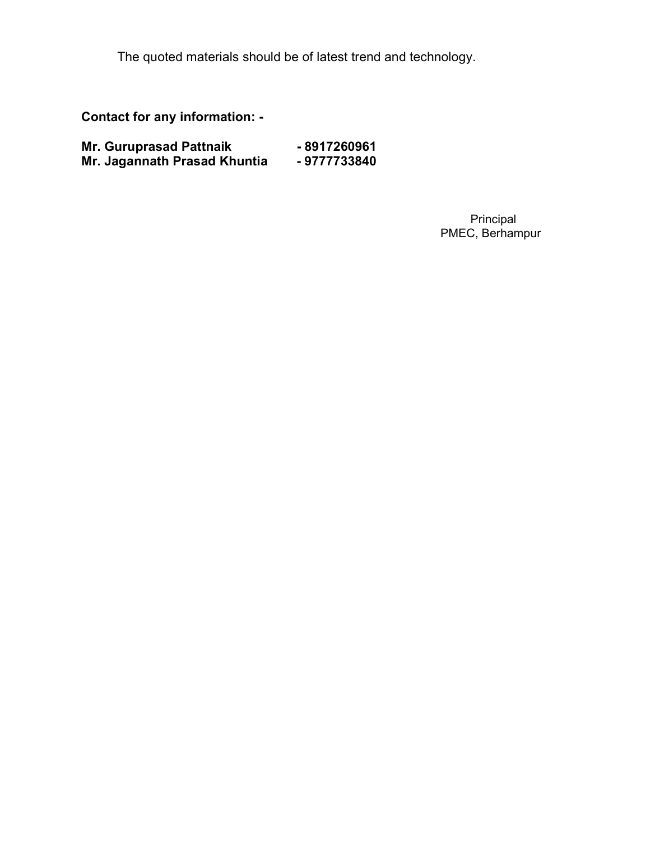The quoted materials should be of latest trend and technology.

Contact for any information: -

| <b>Mr. Guruprasad Pattnaik</b> | -8917260961 |
|--------------------------------|-------------|
| Mr. Jagannath Prasad Khuntia   | -9777733840 |

 Principal PMEC, Berhampur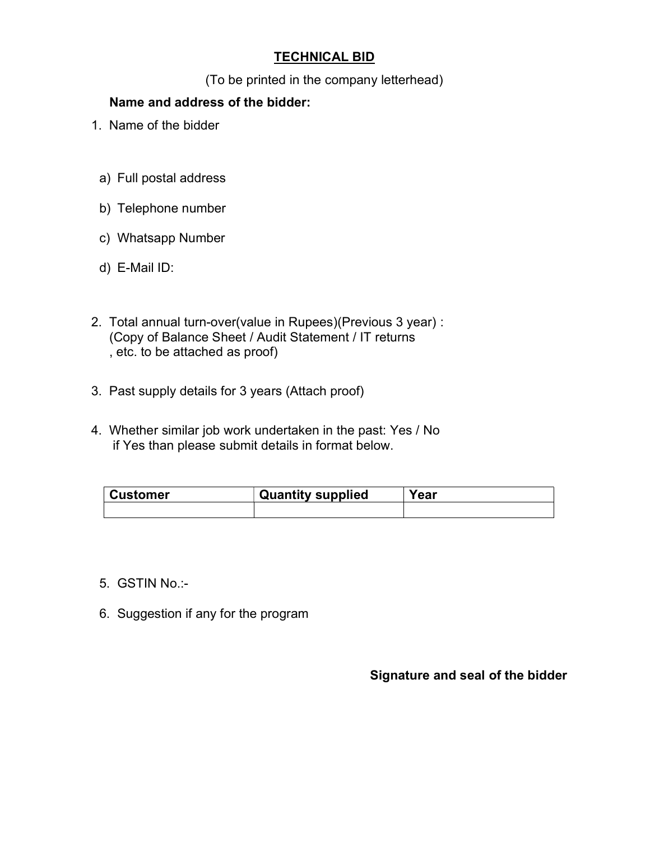#### TECHNICAL BID

(To be printed in the company letterhead)

#### Name and address of the bidder:

- 1. Name of the bidder
	- a) Full postal address
- b) Telephone number
- c) Whatsapp Number
- d) E-Mail ID:
- 2. Total annual turn-over(value in Rupees)(Previous 3 year) : (Copy of Balance Sheet / Audit Statement / IT returns , etc. to be attached as proof)
- 3. Past supply details for 3 years (Attach proof)
- 4. Whether similar job work undertaken in the past: Yes / No if Yes than please submit details in format below.

| <b>Customer</b> | <b>Quantity supplied</b> | Year |
|-----------------|--------------------------|------|
|                 |                          |      |

- 5. GSTIN No.:-
- 6. Suggestion if any for the program

#### Signature and seal of the bidder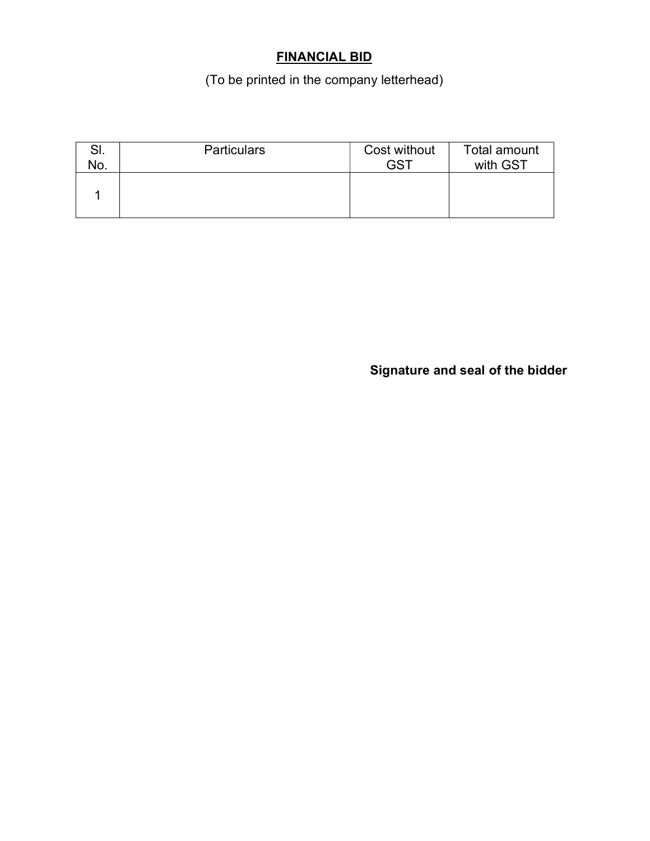### FINANCIAL BID

(To be printed in the company letterhead)

| NO. | <b>Particulars</b> | Cost without<br>GS1 | Total amount<br>with GST |
|-----|--------------------|---------------------|--------------------------|
|     |                    |                     |                          |
|     |                    |                     |                          |

Signature and seal of the bidder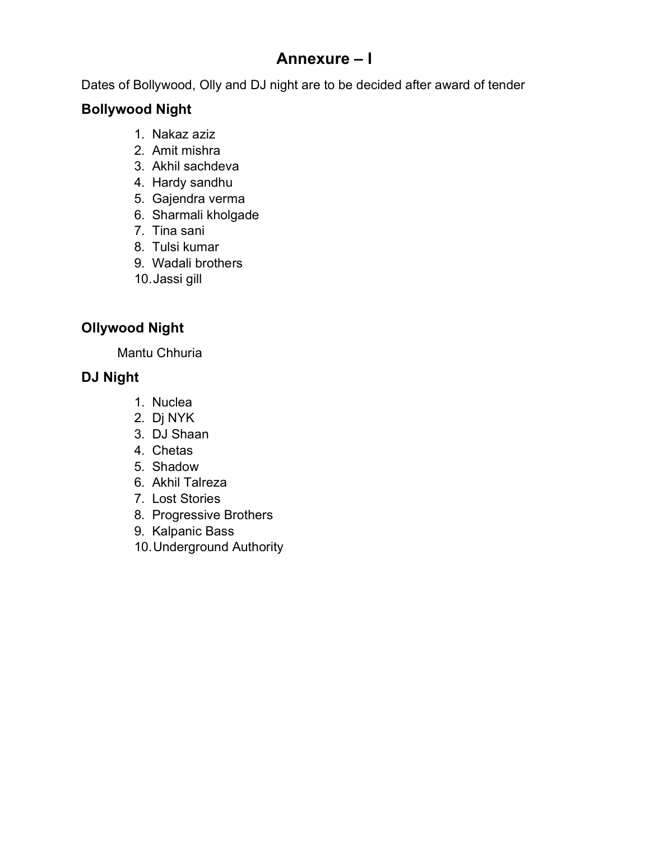## Annexure – I

Dates of Bollywood, Olly and DJ night are to be decided after award of tender

### Bollywood Night

- 1. Nakaz aziz
- 2. Amit mishra
- 3. Akhil sachdeva
- 4. Hardy sandhu
- 5. Gajendra verma
- 6. Sharmali kholgade
- 7. Tina sani
- 8. Tulsi kumar
- 9. Wadali brothers
- 10. Jassi gill

### Ollywood Night

Mantu Chhuria

### DJ Night

- 1. Nuclea
- 2. Dj NYK
- 3. DJ Shaan
- 4. Chetas
- 5. Shadow
- 6. Akhil Talreza
- 7. Lost Stories
- 8. Progressive Brothers
- 9. Kalpanic Bass
- 10. Underground Authority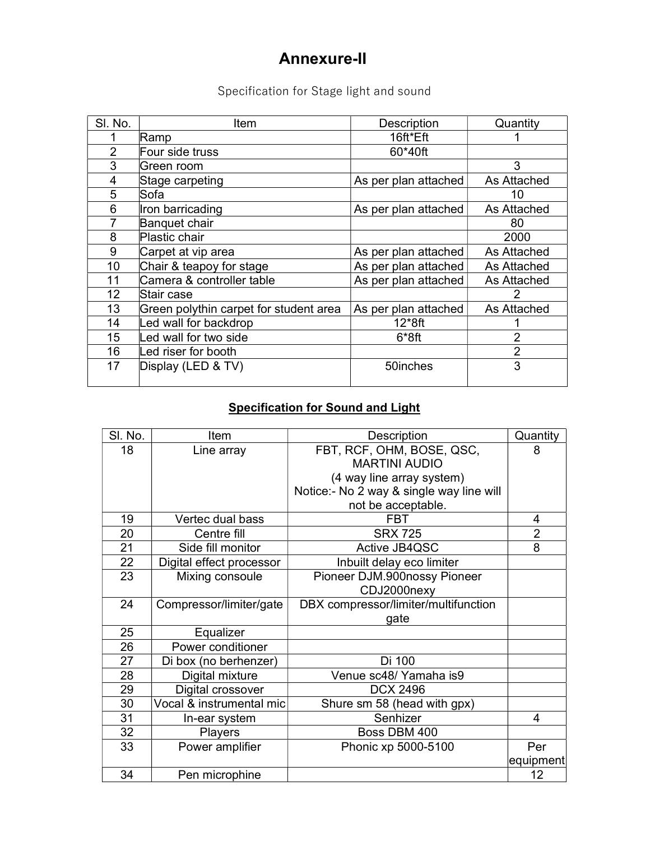## Annexure-II

## Specification for Stage light and sound

| SI. No.        | Item                                   | Description          | Quantity       |
|----------------|----------------------------------------|----------------------|----------------|
|                | Ramp                                   | 16ft*Eft             |                |
| $\overline{2}$ | Four side truss                        | 60*40ft              |                |
| 3              | Green room                             |                      | 3              |
| 4              | Stage carpeting                        | As per plan attached | As Attached    |
| 5              | Sofa                                   |                      | 10             |
| 6              | Iron barricading                       | As per plan attached | As Attached    |
| 7              | Banquet chair                          |                      | 80             |
| 8              | Plastic chair                          |                      | 2000           |
| 9              | Carpet at vip area                     | As per plan attached | As Attached    |
| 10             | Chair & teapoy for stage               | As per plan attached | As Attached    |
| 11             | Camera & controller table              | As per plan attached | As Attached    |
| 12             | Stair case                             |                      |                |
| 13             | Green polythin carpet for student area | As per plan attached | As Attached    |
| 14             | Led wall for backdrop                  | $12*8ft$             |                |
| 15             | Led wall for two side                  | $6*8ft$              | 2              |
| 16             | Led riser for booth                    |                      | $\overline{2}$ |
| 17             | Display (LED & TV)                     | 50inches             | 3              |
|                |                                        |                      |                |

#### Specification for Sound and Light

| SI. No. | Item                     | <b>Description</b>                       | Quantity       |
|---------|--------------------------|------------------------------------------|----------------|
| 18      | Line array               | FBT, RCF, OHM, BOSE, QSC,                | 8              |
|         |                          | <b>MARTINI AUDIO</b>                     |                |
|         |                          | (4 way line array system)                |                |
|         |                          | Notice:- No 2 way & single way line will |                |
|         |                          | not be acceptable.                       |                |
| 19      | Vertec dual bass         | <b>FBT</b>                               | 4              |
| 20      | Centre fill              | <b>SRX 725</b>                           | $\overline{2}$ |
| 21      | Side fill monitor        | Active JB4QSC                            | 8              |
| 22      | Digital effect processor | Inbuilt delay eco limiter                |                |
| 23      | Mixing consoule          | Pioneer DJM.900nossy Pioneer             |                |
|         |                          | CDJ2000nexy                              |                |
| 24      | Compressor/limiter/gate  | DBX compressor/limiter/multifunction     |                |
|         |                          | gate                                     |                |
| 25      | Equalizer                |                                          |                |
| 26      | Power conditioner        |                                          |                |
| 27      | Di box (no berhenzer)    | Di 100                                   |                |
| 28      | Digital mixture          | Venue sc48/ Yamaha is9                   |                |
| 29      | Digital crossover        | <b>DCX 2496</b>                          |                |
| 30      | Vocal & instrumental mic | Shure sm 58 (head with gpx)              |                |
| 31      | In-ear system            | Senhizer                                 | 4              |
| 32      | Players                  | Boss DBM 400                             |                |
| 33      | Power amplifier          | Phonic xp 5000-5100                      | Per            |
|         |                          |                                          | equipment      |
| 34      | Pen microphine           |                                          | 12             |